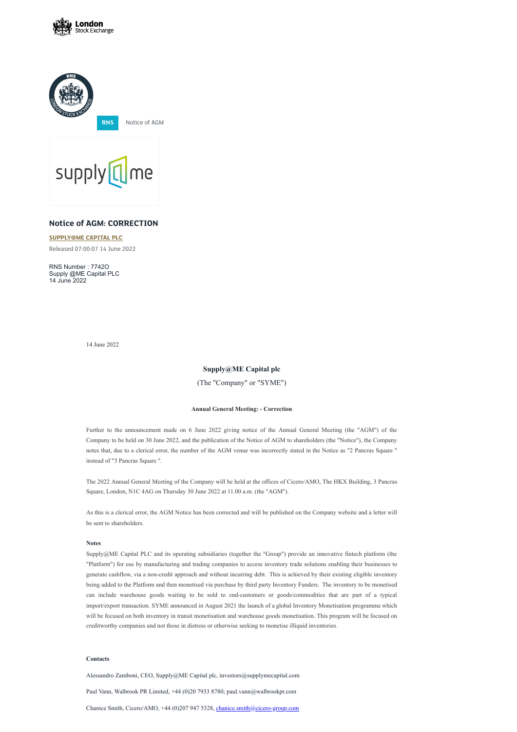





# **Notice of AGM: CORRECTION**

### **[SUPPLY@ME](https://www.londonstockexchange.com/stock/SYME/supply-me-capital-plc) CAPITAL PLC**

Released 07:00:07 14 June 2022

RNS Number : 7742O Supply @ME Capital PLC 14 June 2022

14 June 2022

## **Supply@ME Capital plc**

(The "Company" or "SYME")

#### **Annual General Meeting: - Correction**

Further to the announcement made on 6 June 2022 giving notice of the Annual General Meeting (the "AGM") of the Company to be held on 30 June 2022, and the publication of the Notice of AGM to shareholders (the "Notice"), the Company notes that, due to a clerical error, the number of the AGM venue was incorrectly stated in the Notice as "2 Pancras Square " instead of "3 Pancras Square ".

The 2022 Annual General Meeting of the Company will be held at the offices of Cicero/AMO, The HKX Building, 3 Pancras Square, London, N1C 4AG on Thursday 30 June 2022 at 11.00 a.m. (the "AGM").

As this is a clerical error, the AGM Notice has been corrected and will be published on the Company website and a letter will be sent to shareholders.

**Notes**

Supply@ME Capital PLC and its operating subsidiaries (together the "Group") provide an innovative fintech platform (the "Platform") for use by manufacturing and trading companies to access inventory trade solutions enabling their businesses to generate cashflow, via a non-credit approach and without incurring debt. This is achieved by their existing eligible inventory being added to the Platform and then monetised via purchase by third party Inventory Funders. The inventory to be monetised can include warehouse goods waiting to be sold to end-customers or goods/commodities that are part of a typical import/export transaction. SYME announced in August 2021 the launch of a global Inventory Monetisation programme which will be focused on both inventory in transit monetisation and warehouse goods monetisation. This program will be focused on creditworthy companies and not those in distress or otherwise seeking to monetise illiquid inventories.

#### **Contacts**

Alessandro Zamboni, CEO, Supply@ME Capital plc, investors@supplymecapital.com

Paul Vann, Walbrook PR Limited, +44 (0)20 7933 8780; paul.vann@walbrookpr.com

Chanice Smith, Cicero/AMO, +44 (0)207 947 5328, *[chanice.smith@cicero-group.com](mailto:chanice.smith@cicero-group.com)*